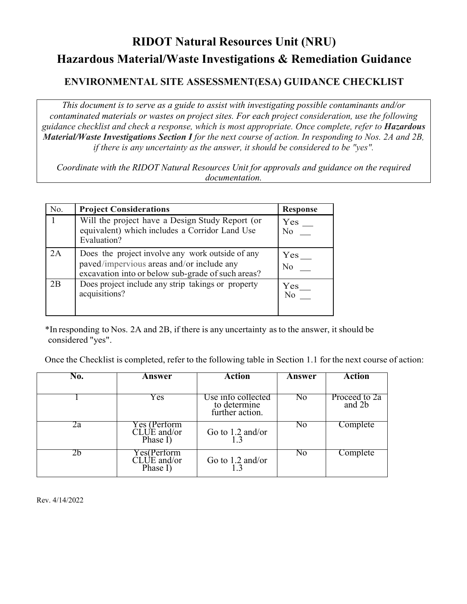# **RIDOT Natural Resources Unit (NRU) Hazardous Material/Waste Investigations & Remediation Guidance**

# **ENVIRONMENTAL SITE ASSESSMENT(ESA) GUIDANCE CHECKLIST**

*This document is to serve as a guide to assist with investigating possible contaminants and/or contaminated materials or wastes on project sites. For each project consideration, use the following guidance checklist and check a response, which is most appropriate. Once complete, refer to Hazardous Material/Waste Investigations Section I for the next course of action. In responding to Nos. 2A and 2B, if there is any uncertainty as the answer, it should be considered to be "yes".* 

*Coordinate with the RIDOT Natural Resources Unit for approvals and guidance on the required documentation.* 

| No. | <b>Project Considerations</b>                                                                                                                      | <b>Response</b> |
|-----|----------------------------------------------------------------------------------------------------------------------------------------------------|-----------------|
|     | Will the project have a Design Study Report (or<br>equivalent) which includes a Corridor Land Use<br>Evaluation?                                   | Yes<br>No.      |
| 2A  | Does the project involve any work outside of any<br>paved/impervious areas and/or include any<br>excavation into or below sub-grade of such areas? | Yes<br>No       |
| 2B  | Does project include any strip takings or property<br>acquisitions?                                                                                | Yes<br>No       |

\*In responding to Nos. 2A and 2B, if there is any uncertainty as to the answer, it should be considered "yes".

Once the Checklist is completed, refer to the following table in Section 1.1 for the next course of action:

| No. | Answer                                  | Action                                                | Answer         | <b>Action</b>           |
|-----|-----------------------------------------|-------------------------------------------------------|----------------|-------------------------|
|     |                                         |                                                       |                |                         |
|     | Y es                                    | Use info collected<br>to determine<br>further action. | No.            | Proceed to 2a<br>and 2b |
| 2a  | Yes (Perform<br>CLUE and/or<br>Phase I) | Go to $1.2$ and/or                                    | N <sub>0</sub> | Complete                |
| 2b  | Y es(Perform<br>CLUE and/or<br>Phase I) | Go to $1.2$ and/or                                    | No             | Complete                |

Rev. 4/14/2022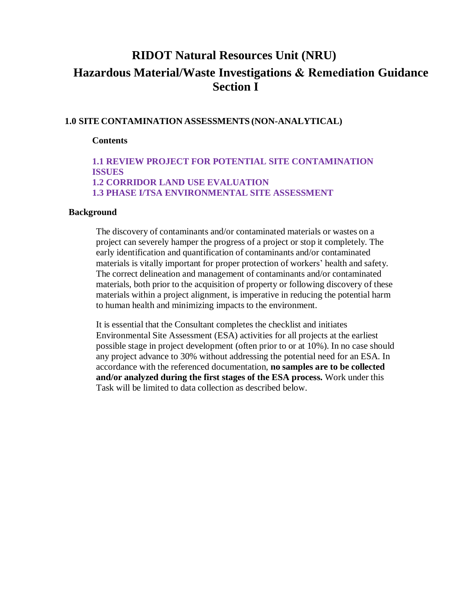# **RIDOT Natural Resources Unit (NRU) Hazardous Material/Waste Investigations & Remediation Guidance Section I**

#### **1.0 SITE CONTAMINATION ASSESSMENTS (NON-ANALYTICAL)**

#### **Contents**

#### **1.1 REVIEW PROJECT FOR POTENTIAL SITE CONTAMINATION ISSUES 1.2 CORRIDOR LAND USE EVALUATION 1.3 PHASE I/TSA ENVIRONMENTAL SITE ASSESSMENT**

#### **Background**

The discovery of contaminants and/or contaminated materials or wastes on a project can severely hamper the progress of a project or stop it completely. The early identification and quantification of contaminants and/or contaminated materials is vitally important for proper protection of workers' health and safety. The correct delineation and management of contaminants and/or contaminated materials, both prior to the acquisition of property or following discovery of these materials within a project alignment, is imperative in reducing the potential harm to human health and minimizing impacts to the environment.

It is essential that the Consultant completes the checklist and initiates Environmental Site Assessment (ESA) activities for all projects at the earliest possible stage in project development (often prior to or at 10%). In no case should any project advance to 30% without addressing the potential need for an ESA. In accordance with the referenced documentation, **no samples are to be collected and/or analyzed during the first stages of the ESA process.** Work under this Task will be limited to data collection as described below.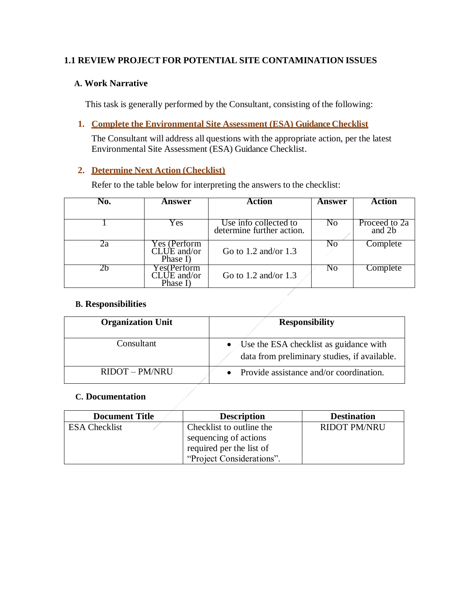# **1.1 REVIEW PROJECT FOR POTENTIAL SITE CONTAMINATION ISSUES**

# **A. Work Narrative**

This task is generally performed by the Consultant, consisting of the following:

**1. Complete the Environmental Site Assessment (ESA) Guidance Checklist**

The Consultant will address all questions with the appropriate action, per the latest Environmental Site Assessment (ESA) Guidance Checklist.

# **2. Determine Next Action (Checklist)**

Refer to the table below for interpreting the answers to the checklist:

| No. | Answer                                  | Action                                             | Answer         | <b>Action</b>           |
|-----|-----------------------------------------|----------------------------------------------------|----------------|-------------------------|
|     |                                         |                                                    |                |                         |
|     | Yes                                     | Use info collected to<br>determine further action. | No             | Proceed to 2a<br>and 2b |
| Żа  | Yes (Perform<br>CLUE and/or<br>Phase I) | Go to $1.2$ and/or $1.3$                           | No             | Complete                |
| ∠h  | Yes(Perform<br>CLUE and/or<br>Phase I)  | Go to $1.2$ and/or $1.3$                           | N <sub>0</sub> | Complete                |

## **B. Responsibilities**

| <b>Organization Unit</b> | <b>Responsibility</b>                                                                  |
|--------------------------|----------------------------------------------------------------------------------------|
| Consultant               | Use the ESA checklist as guidance with<br>data from preliminary studies, if available. |
| RIDOT - PM/NRU           | Provide assistance and/or coordination.                                                |

#### **C. Documentation**

| <b>Document Title</b> | <b>Description</b>        | <b>Destination</b>  |
|-----------------------|---------------------------|---------------------|
| <b>ESA Checklist</b>  | Checklist to outline the  | <b>RIDOT PM/NRU</b> |
|                       | sequencing of actions     |                     |
|                       | required per the list of  |                     |
|                       | "Project Considerations". |                     |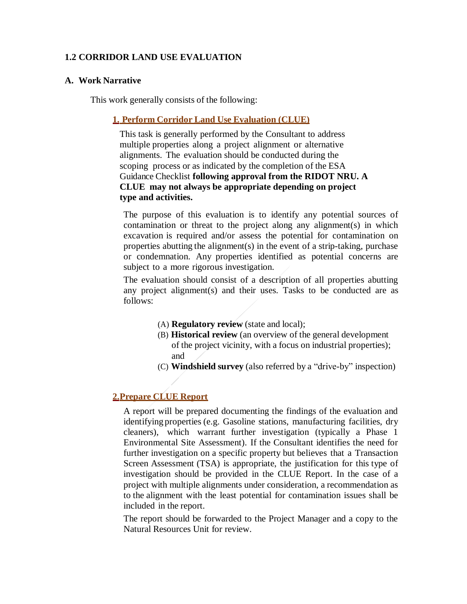## **1.2 CORRIDOR LAND USE EVALUATION**

#### **A. Work Narrative**

This work generally consists of the following:

#### **1. Perform Corridor Land Use Evaluation (CLUE)**

This task is generally performed by the Consultant to address multiple properties along a project alignment or alternative alignments. The evaluation should be conducted during the scoping process or as indicated by the completion of the ESA Guidance Checklist **following approval from the RIDOT NRU. A CLUE may not always be appropriate depending on project type and activities.** 

The purpose of this evaluation is to identify any potential sources of contamination or threat to the project along any alignment(s) in which excavation is required and/or assess the potential for contamination on properties abutting the alignment(s) in the event of a strip-taking, purchase or condemnation. Any properties identified as potential concerns are subject to a more rigorous investigation.

The evaluation should consist of a description of all properties abutting any project alignment(s) and their uses. Tasks to be conducted are as follows:

- (A) **Regulatory review** (state and local);
- (B) **Historical review** (an overview of the general development of the project vicinity, with a focus on industrial properties); and
- (C) **Windshield survey** (also referred by a "drive-by" inspection)

#### **2.Prepare CLUE Report**

A report will be prepared documenting the findings of the evaluation and identifying properties (e.g. Gasoline stations, manufacturing facilities, dry cleaners), which warrant further investigation (typically a Phase 1 Environmental Site Assessment). If the Consultant identifies the need for further investigation on a specific property but believes that a Transaction Screen Assessment (TSA) is appropriate, the justification for this type of investigation should be provided in the CLUE Report. In the case of a project with multiple alignments under consideration, a recommendation as to the alignment with the least potential for contamination issues shall be included in the report.

The report should be forwarded to the Project Manager and a copy to the Natural Resources Unit for review.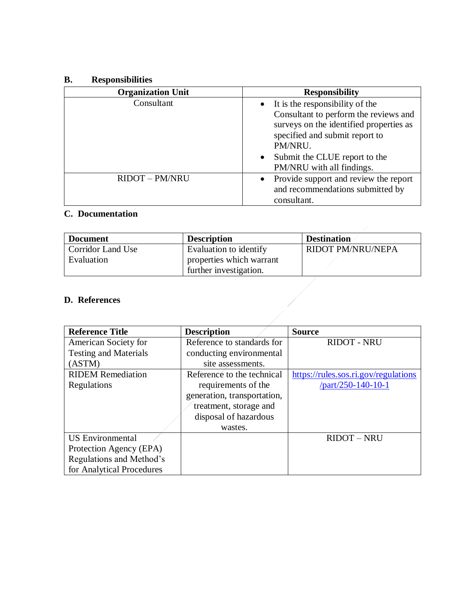## **B. Responsibilities**

| <b>Organization Unit</b> | <b>Responsibility</b>                      |
|--------------------------|--------------------------------------------|
| Consultant               | $\bullet$ It is the responsibility of the  |
|                          | Consultant to perform the reviews and      |
|                          | surveys on the identified properties as    |
|                          | specified and submit report to             |
|                          | PM/NRU.                                    |
|                          | Submit the CLUE report to the<br>$\bullet$ |
|                          | PM/NRU with all findings.                  |
| <b>RIDOT - PM/NRU</b>    | • Provide support and review the report    |
|                          | and recommendations submitted by           |
|                          | consultant.                                |

# **C. Documentation**

| <b>Document</b>          | <b>Description</b>       | <b>Destination</b>       |
|--------------------------|--------------------------|--------------------------|
| <b>Corridor Land Use</b> | Evaluation to identify   | <b>RIDOT PM/NRU/NEPA</b> |
| Evaluation               | properties which warrant |                          |
|                          | further investigation.   |                          |

| <b>Reference Title</b>       | <b>Description</b>          | <b>Source</b>                        |
|------------------------------|-----------------------------|--------------------------------------|
| American Society for         | Reference to standards for  | <b>RIDOT - NRU</b>                   |
| <b>Testing and Materials</b> | conducting environmental    |                                      |
| (ASTM)                       | site assessments.           |                                      |
| <b>RIDEM</b> Remediation     | Reference to the technical  | https://rules.sos.ri.gov/regulations |
| Regulations                  | requirements of the         | /part/250-140-10-1                   |
|                              | generation, transportation, |                                      |
|                              | treatment, storage and      |                                      |
|                              | disposal of hazardous       |                                      |
|                              | wastes.                     |                                      |
| <b>US</b> Environmental      |                             | <b>RIDOT - NRU</b>                   |
| Protection Agency (EPA)      |                             |                                      |
| Regulations and Method's     |                             |                                      |
| for Analytical Procedures    |                             |                                      |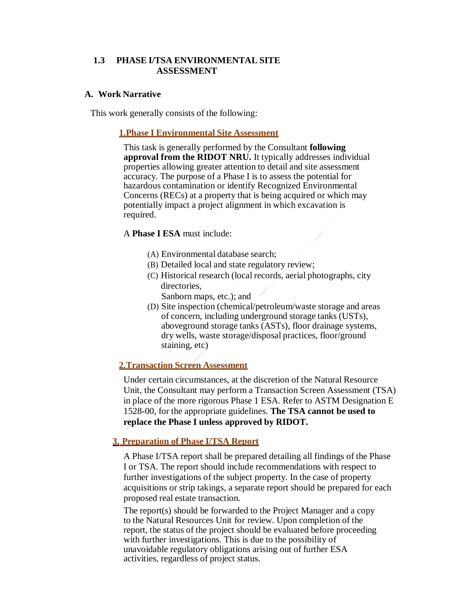#### **1.3 PHASE I/TSA ENVIRONMENTAL SITE ASSESSMENT**

#### **A. Work Narrative**

This work generally consists of the following:

#### **1.Phase I Environmental Site Assessment**

This task is generally performed by the Consultant **following approval from the RIDOT NRU.** It typically addresses individual properties allowing greater attention to detail and site assessment accuracy. The purpose of a Phase I is to assess the potential for hazardous contamination or identify Recognized Environmental Concerns (RECs) at a property that is being acquired or which may potentially impact a project alignment in which excavation is required.

#### A **Phase I ESA** must include:

- (A) Environmental database search;
- (B) Detailed local and state regulatory review;
- (C) Historical research (local records, aerial photographs, city directories,
	- Sanborn maps, etc.); and
- (D) Site inspection (chemical/petroleum/waste storage and areas of concern, including underground storage tanks (USTs), aboveground storage tanks (ASTs), floor drainage systems, dry wells, waste storage/disposal practices, floor/ground staining, etc)

#### **2.Transaction Screen Assessment**

Under certain circumstances, at the discretion of the Natural Resource Unit, the Consultant may perform a Transaction Screen Assessment (TSA) in place of the more rigorous Phase 1 ESA. Refer to ASTM Designation E 1528-00, for the appropriate guidelines. **The TSA cannot be used to replace the Phase I unless approved by RIDOT.**

#### **3. Preparation of Phase I/TSA Report**

A Phase I/TSA report shall be prepared detailing all findings of the Phase I or TSA. The report should include recommendations with respect to further investigations of the subject property. In the case of property acquisitions or strip takings, a separate report should be prepared for each proposed real estate transaction.

The report(s) should be forwarded to the Project Manager and a copy to the Natural Resources Unit for review. Upon completion of the report, the status of the project should be evaluated before proceeding with further investigations. This is due to the possibility of unavoidable regulatory obligations arising out of further ESA activities, regardless of project status.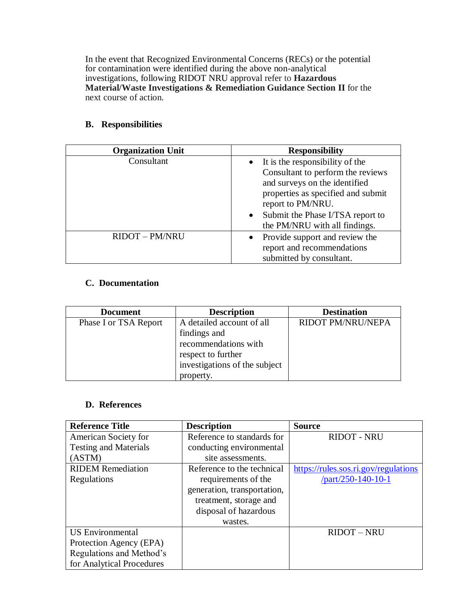In the event that Recognized Environmental Concerns (RECs) or the potential for contamination were identified during the above non-analytical investigations, following RIDOT NRU approval refer to **Hazardous Material/Waste Investigations & Remediation Guidance Section II** for the next course of action.

# **B. Responsibilities**

| <b>Organization Unit</b> | <b>Responsibility</b>                         |
|--------------------------|-----------------------------------------------|
| Consultant               | $\bullet$ It is the responsibility of the     |
|                          | Consultant to perform the reviews             |
|                          | and surveys on the identified                 |
|                          | properties as specified and submit            |
|                          | report to PM/NRU.                             |
|                          | Submit the Phase I/TSA report to<br>$\bullet$ |
|                          | the PM/NRU with all findings.                 |
| <b>RIDOT - PM/NRU</b>    | • Provide support and review the              |
|                          | report and recommendations                    |
|                          | submitted by consultant.                      |

# **C. Documentation**

| <b>Document</b>       | <b>Description</b>            | <b>Destination</b> |
|-----------------------|-------------------------------|--------------------|
| Phase I or TSA Report | A detailed account of all     | RIDOT PM/NRU/NEPA  |
|                       | findings and                  |                    |
|                       | recommendations with          |                    |
|                       | respect to further            |                    |
|                       | investigations of the subject |                    |
|                       | property.                     |                    |

| <b>Reference Title</b>       | <b>Description</b>          | <b>Source</b>                        |
|------------------------------|-----------------------------|--------------------------------------|
| American Society for         | Reference to standards for  | <b>RIDOT - NRU</b>                   |
| <b>Testing and Materials</b> | conducting environmental    |                                      |
| (ASTM)                       | site assessments.           |                                      |
| <b>RIDEM</b> Remediation     | Reference to the technical  | https://rules.sos.ri.gov/regulations |
| Regulations                  | requirements of the         | $part/250-140-10-1$                  |
|                              | generation, transportation, |                                      |
|                              | treatment, storage and      |                                      |
|                              | disposal of hazardous       |                                      |
|                              | wastes.                     |                                      |
| <b>US</b> Environmental      |                             | <b>RIDOT - NRU</b>                   |
| Protection Agency (EPA)      |                             |                                      |
| Regulations and Method's     |                             |                                      |
| for Analytical Procedures    |                             |                                      |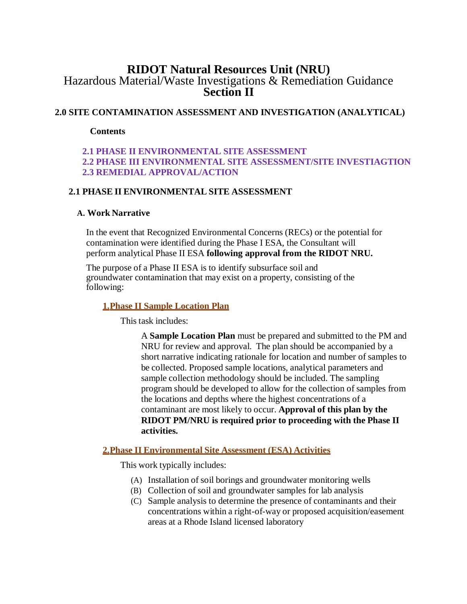# **RIDOT Natural Resources Unit (NRU)** Hazardous Material/Waste Investigations & Remediation Guidance **Section II**

# **2.0 SITE CONTAMINATION ASSESSMENT AND INVESTIGATION (ANALYTICAL)**

**Contents**

# **2.1 PHASE II ENVIRONMENTAL SITE ASSESSMENT 2.2 PHASE III ENVIRONMENTAL SITE ASSESSMENT/SITE INVESTIAGTION 2.3 REMEDIAL APPROVAL/ACTION**

# **2.1 PHASE II ENVIRONMENTAL SITE ASSESSMENT**

## **A. Work Narrative**

In the event that Recognized Environmental Concerns (RECs) or the potential for contamination were identified during the Phase I ESA, the Consultant will perform analytical Phase II ESA **following approval from the RIDOT NRU.**

The purpose of a Phase II ESA is to identify subsurface soil and groundwater contamination that may exist on a property, consisting of the following:

#### **1.Phase II Sample Location Plan**

This task includes:

A **Sample Location Plan** must be prepared and submitted to the PM and NRU for review and approval. The plan should be accompanied by a short narrative indicating rationale for location and number of samples to be collected. Proposed sample locations, analytical parameters and sample collection methodology should be included. The sampling program should be developed to allow for the collection of samples from the locations and depths where the highest concentrations of a contaminant are most likely to occur. **Approval of this plan by the RIDOT PM/NRU is required prior to proceeding with the Phase II activities.**

# **2.Phase II Environmental Site Assessment (ESA) Activities**

This work typically includes:

- (A) Installation of soil borings and groundwater monitoring wells
- (B) Collection of soil and groundwater samples for lab analysis
- (C) Sample analysis to determine the presence of contaminants and their concentrations within a right-of-way or proposed acquisition/easement areas at a Rhode Island licensed laboratory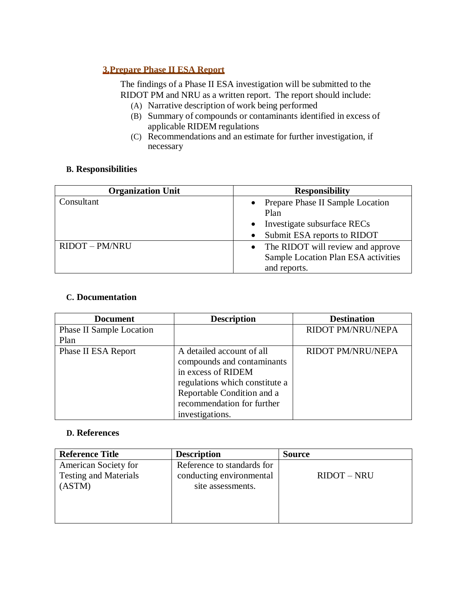# **3.Prepare Phase II ESA Report**

The findings of a Phase II ESA investigation will be submitted to the RIDOT PM and NRU as a written report. The report should include:

- (A) Narrative description of work being performed
- (B) Summary of compounds or contaminants identified in excess of applicable RIDEM regulations
- (C) Recommendations and an estimate for further investigation, if necessary

## **B. Responsibilities**

| <b>Organization Unit</b> | <b>Responsibility</b>               |
|--------------------------|-------------------------------------|
| Consultant               | • Prepare Phase II Sample Location  |
|                          | Plan                                |
|                          | Investigate subsurface RECs         |
|                          | Submit ESA reports to RIDOT         |
| <b>RIDOT - PM/NRU</b>    | • The RIDOT will review and approve |
|                          | Sample Location Plan ESA activities |
|                          | and reports.                        |

#### **C. Documentation**

| <b>Document</b>                 | <b>Description</b>             | <b>Destination</b>       |
|---------------------------------|--------------------------------|--------------------------|
| <b>Phase II Sample Location</b> |                                | RIDOT PM/NRU/NEPA        |
| Plan                            |                                |                          |
| Phase II ESA Report             | A detailed account of all      | <b>RIDOT PM/NRU/NEPA</b> |
|                                 | compounds and contaminants     |                          |
|                                 | in excess of RIDEM             |                          |
|                                 | regulations which constitute a |                          |
|                                 | Reportable Condition and a     |                          |
|                                 | recommendation for further     |                          |
|                                 | investigations.                |                          |

| <b>Reference Title</b>                                         | <b>Description</b>                                                          | <b>Source</b> |
|----------------------------------------------------------------|-----------------------------------------------------------------------------|---------------|
| American Society for<br><b>Testing and Materials</b><br>(ASTM) | Reference to standards for<br>conducting environmental<br>site assessments. | $RIDOT - NRU$ |
|                                                                |                                                                             |               |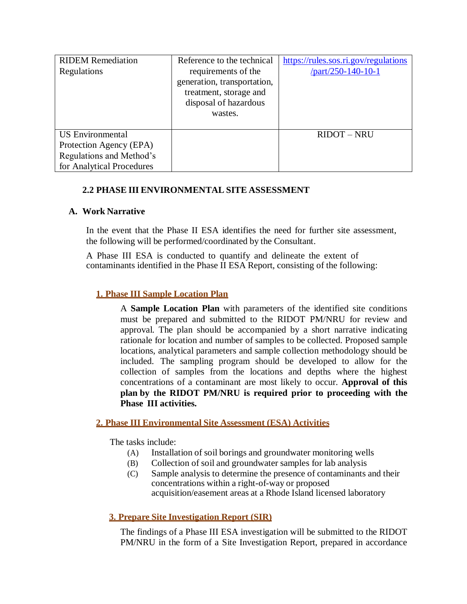| <b>RIDEM</b> Remediation  | Reference to the technical  | https://rules.sos.ri.gov/regulations |
|---------------------------|-----------------------------|--------------------------------------|
| Regulations               | requirements of the         | $part/250-140-10-1$                  |
|                           | generation, transportation, |                                      |
|                           | treatment, storage and      |                                      |
|                           | disposal of hazardous       |                                      |
|                           | wastes.                     |                                      |
|                           |                             |                                      |
| <b>US</b> Environmental   |                             | <b>RIDOT - NRU</b>                   |
| Protection Agency (EPA)   |                             |                                      |
| Regulations and Method's  |                             |                                      |
| for Analytical Procedures |                             |                                      |

# **2.2 PHASE III ENVIRONMENTAL SITE ASSESSMENT**

# **A. Work Narrative**

In the event that the Phase II ESA identifies the need for further site assessment, the following will be performed/coordinated by the Consultant.

A Phase III ESA is conducted to quantify and delineate the extent of contaminants identified in the Phase II ESA Report, consisting of the following:

# **1. Phase III Sample Location Plan**

A **Sample Location Plan** with parameters of the identified site conditions must be prepared and submitted to the RIDOT PM/NRU for review and approval. The plan should be accompanied by a short narrative indicating rationale for location and number of samples to be collected. Proposed sample locations, analytical parameters and sample collection methodology should be included. The sampling program should be developed to allow for the collection of samples from the locations and depths where the highest concentrations of a contaminant are most likely to occur. **Approval of this plan by the RIDOT PM/NRU is required prior to proceeding with the Phase III activities.**

#### **2. Phase III Environmental Site Assessment (ESA) Activities**

The tasks include:

- (A) Installation of soil borings and groundwater monitoring wells
- (B) Collection of soil and groundwater samples for lab analysis
- (C) Sample analysis to determine the presence of contaminants and their concentrations within a right-of-way or proposed acquisition/easement areas at a Rhode Island licensed laboratory

# **3. Prepare Site Investigation Report (SIR)**

The findings of a Phase III ESA investigation will be submitted to the RIDOT PM/NRU in the form of a Site Investigation Report, prepared in accordance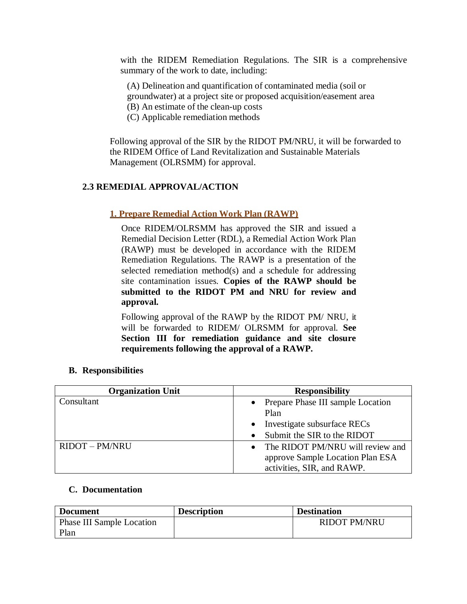with the RIDEM Remediation Regulations. The SIR is a comprehensive summary of the work to date, including:

(A) Delineation and quantification of contaminated media (soil or

groundwater) at a project site or proposed acquisition/easement area

- (B) An estimate of the clean-up costs
- (C) Applicable remediation methods

Following approval of the SIR by the RIDOT PM/NRU, it will be forwarded to the RIDEM Office of Land Revitalization and Sustainable Materials Management (OLRSMM) for approval.

# **2.3 REMEDIAL APPROVAL/ACTION**

# **1. Prepare Remedial Action Work Plan (RAWP)**

Once RIDEM/OLRSMM has approved the SIR and issued a Remedial Decision Letter (RDL), a Remedial Action Work Plan (RAWP) must be developed in accordance with the RIDEM Remediation Regulations. The RAWP is a presentation of the selected remediation method(s) and a schedule for addressing site contamination issues. **Copies of the RAWP should be submitted to the RIDOT PM and NRU for review and approval.**

Following approval of the RAWP by the RIDOT PM/ NRU, it will be forwarded to RIDEM/ OLRSMM for approval. **See Section III for remediation guidance and site closure requirements following the approval of a RAWP.** 

#### **B. Responsibilities**

| <b>Organization Unit</b> | <b>Responsibility</b>                         |
|--------------------------|-----------------------------------------------|
| Consultant               | • Prepare Phase III sample Location           |
|                          | Plan                                          |
|                          | • Investigate subsurface RECs                 |
|                          | Submit the SIR to the RIDOT                   |
| <b>RIDOT - PM/NRU</b>    | The RIDOT PM/NRU will review and<br>$\bullet$ |
|                          | approve Sample Location Plan ESA              |
|                          | activities, SIR, and RAWP.                    |

#### **C. Documentation**

| <b>Document</b>           | <b>Description</b> | <b>Destination</b>  |
|---------------------------|--------------------|---------------------|
| Phase III Sample Location |                    | <b>RIDOT PM/NRU</b> |
| Plan                      |                    |                     |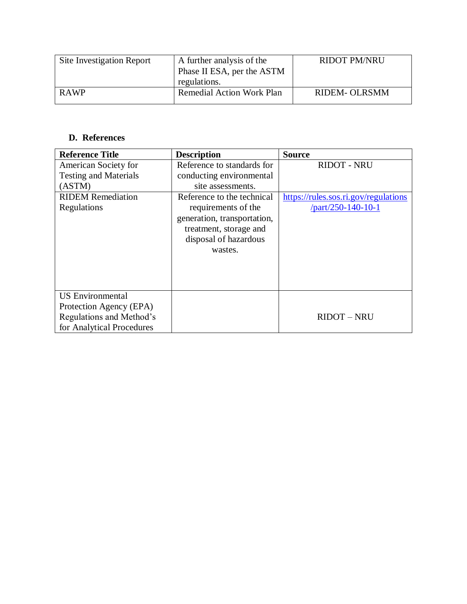| Site Investigation Report | A further analysis of the<br>Phase II ESA, per the ASTM<br>regulations. | <b>RIDOT PM/NRU</b>  |
|---------------------------|-------------------------------------------------------------------------|----------------------|
| <b>RAWP</b>               | <b>Remedial Action Work Plan</b>                                        | <b>RIDEM- OLRSMM</b> |

| <b>Reference Title</b>       | <b>Description</b>          | <b>Source</b>                        |
|------------------------------|-----------------------------|--------------------------------------|
| American Society for         | Reference to standards for  | <b>RIDOT - NRU</b>                   |
| <b>Testing and Materials</b> | conducting environmental    |                                      |
| (ASTM)                       | site assessments.           |                                      |
| <b>RIDEM</b> Remediation     | Reference to the technical  | https://rules.sos.ri.gov/regulations |
| Regulations                  | requirements of the         | /part/250-140-10-1                   |
|                              | generation, transportation, |                                      |
|                              | treatment, storage and      |                                      |
|                              | disposal of hazardous       |                                      |
|                              | wastes.                     |                                      |
|                              |                             |                                      |
|                              |                             |                                      |
|                              |                             |                                      |
| <b>US</b> Environmental      |                             |                                      |
| Protection Agency (EPA)      |                             |                                      |
| Regulations and Method's     |                             | <b>RIDOT - NRU</b>                   |
| for Analytical Procedures    |                             |                                      |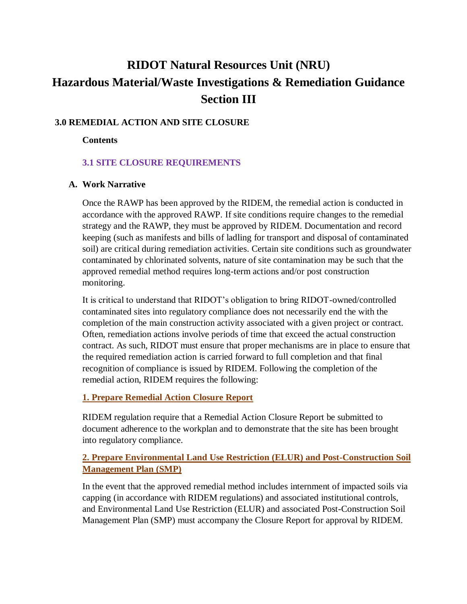# **RIDOT Natural Resources Unit (NRU) Hazardous Material/Waste Investigations & Remediation Guidance Section III**

# **3.0 REMEDIAL ACTION AND SITE CLOSURE**

#### **Contents**

# **3.1 SITE CLOSURE REQUIREMENTS**

## **A. Work Narrative**

Once the RAWP has been approved by the RIDEM, the remedial action is conducted in accordance with the approved RAWP. If site conditions require changes to the remedial strategy and the RAWP, they must be approved by RIDEM. Documentation and record keeping (such as manifests and bills of ladling for transport and disposal of contaminated soil) are critical during remediation activities. Certain site conditions such as groundwater contaminated by chlorinated solvents, nature of site contamination may be such that the approved remedial method requires long-term actions and/or post construction monitoring.

It is critical to understand that RIDOT's obligation to bring RIDOT-owned/controlled contaminated sites into regulatory compliance does not necessarily end the with the completion of the main construction activity associated with a given project or contract. Often, remediation actions involve periods of time that exceed the actual construction contract. As such, RIDOT must ensure that proper mechanisms are in place to ensure that the required remediation action is carried forward to full completion and that final recognition of compliance is issued by RIDEM. Following the completion of the remedial action, RIDEM requires the following:

# **1. Prepare Remedial Action Closure Report**

RIDEM regulation require that a Remedial Action Closure Report be submitted to document adherence to the workplan and to demonstrate that the site has been brought into regulatory compliance.

# **2. Prepare Environmental Land Use Restriction (ELUR) and Post-Construction Soil Management Plan (SMP)**

In the event that the approved remedial method includes internment of impacted soils via capping (in accordance with RIDEM regulations) and associated institutional controls, and Environmental Land Use Restriction (ELUR) and associated Post-Construction Soil Management Plan (SMP) must accompany the Closure Report for approval by RIDEM.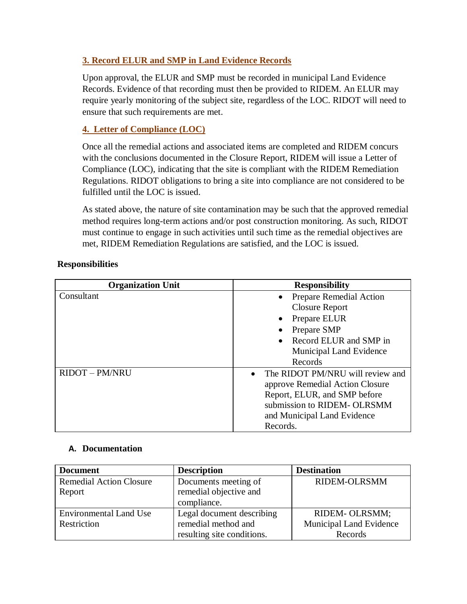# **3. Record ELUR and SMP in Land Evidence Records**

Upon approval, the ELUR and SMP must be recorded in municipal Land Evidence Records. Evidence of that recording must then be provided to RIDEM. An ELUR may require yearly monitoring of the subject site, regardless of the LOC. RIDOT will need to ensure that such requirements are met.

# **4. Letter of Compliance (LOC)**

Once all the remedial actions and associated items are completed and RIDEM concurs with the conclusions documented in the Closure Report, RIDEM will issue a Letter of Compliance (LOC), indicating that the site is compliant with the RIDEM Remediation Regulations. RIDOT obligations to bring a site into compliance are not considered to be fulfilled until the LOC is issued.

As stated above, the nature of site contamination may be such that the approved remedial method requires long-term actions and/or post construction monitoring. As such, RIDOT must continue to engage in such activities until such time as the remedial objectives are met, RIDEM Remediation Regulations are satisfied, and the LOC is issued.

# **Responsibilities**

| <b>Organization Unit</b> | <b>Responsibility</b>                         |
|--------------------------|-----------------------------------------------|
| Consultant               | • Prepare Remedial Action                     |
|                          | Closure Report                                |
|                          | Prepare ELUR                                  |
|                          | Prepare SMP                                   |
|                          | • Record ELUR and SMP in                      |
|                          | <b>Municipal Land Evidence</b>                |
|                          | Records                                       |
| <b>RIDOT - PM/NRU</b>    | The RIDOT PM/NRU will review and<br>$\bullet$ |
|                          | approve Remedial Action Closure               |
|                          | Report, ELUR, and SMP before                  |
|                          | submission to RIDEM- OLRSMM                   |
|                          | and Municipal Land Evidence                   |
|                          | Records.                                      |

# **A. Documentation**

| <b>Document</b>                | <b>Description</b>         | <b>Destination</b>      |
|--------------------------------|----------------------------|-------------------------|
| <b>Remedial Action Closure</b> | Documents meeting of       | <b>RIDEM-OLRSMM</b>     |
| Report                         | remedial objective and     |                         |
|                                | compliance.                |                         |
| <b>Environmental Land Use</b>  | Legal document describing  | RIDEM- OLRSMM;          |
| Restriction                    | remedial method and        | Municipal Land Evidence |
|                                | resulting site conditions. | Records                 |